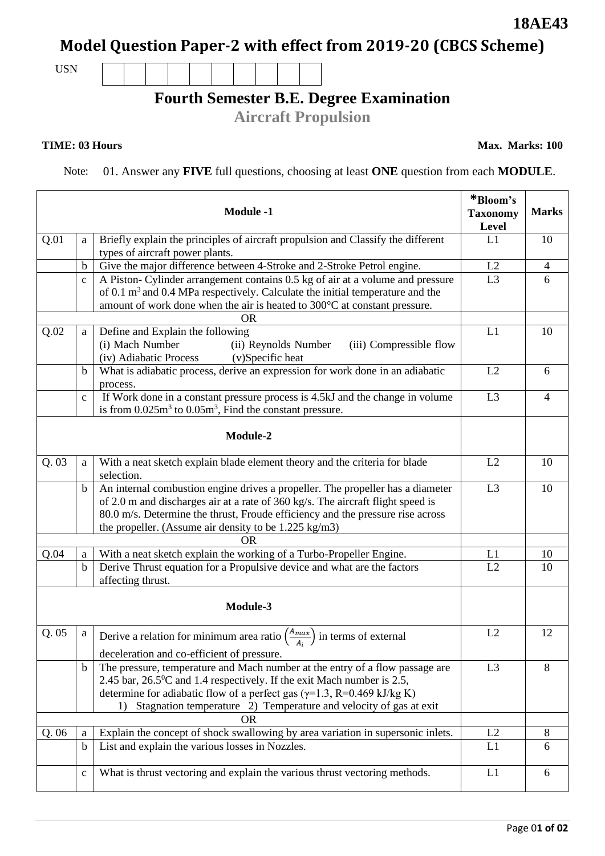# **Model Question Paper-2 with effect from 2019-20 (CBCS Scheme)**

USN

### **Fourth Semester B.E. Degree Examination**

**Aircraft Propulsion**

#### **TIME: 03 Hours**

Note: 01. Answer any **FIVE** full questions, choosing at least **ONE** question from each **MODULE**.

|           |                  | <b>Module -1</b>                                                                                                                                                                                                                                                                                                                  | *Bloom's<br><b>Taxonomy</b><br>Level | <b>Marks</b>   |
|-----------|------------------|-----------------------------------------------------------------------------------------------------------------------------------------------------------------------------------------------------------------------------------------------------------------------------------------------------------------------------------|--------------------------------------|----------------|
| Q.01      | a                | Briefly explain the principles of aircraft propulsion and Classify the different                                                                                                                                                                                                                                                  | L1                                   | 10             |
|           |                  | types of aircraft power plants.                                                                                                                                                                                                                                                                                                   |                                      |                |
|           | $\mathbf b$      | Give the major difference between 4-Stroke and 2-Stroke Petrol engine.                                                                                                                                                                                                                                                            | L2                                   | $\overline{4}$ |
|           | $\mathbf{c}$     | A Piston- Cylinder arrangement contains 0.5 kg of air at a volume and pressure<br>of 0.1 $m3$ and 0.4 MPa respectively. Calculate the initial temperature and the<br>amount of work done when the air is heated to 300°C at constant pressure.                                                                                    | L <sub>3</sub>                       | 6              |
|           |                  | <b>OR</b>                                                                                                                                                                                                                                                                                                                         |                                      |                |
| Q.02      | a                | Define and Explain the following<br>(i) Mach Number<br>(ii) Reynolds Number<br>(iii) Compressible flow<br>(iv) Adiabatic Process<br>(v)Specific heat                                                                                                                                                                              | L1                                   | 10             |
|           | $\mathbf b$      | What is adiabatic process, derive an expression for work done in an adiabatic<br>process.                                                                                                                                                                                                                                         | L2                                   | 6              |
|           | $\mathbf{C}$     | If Work done in a constant pressure process is 4.5kJ and the change in volume<br>is from $0.025m3$ to $0.05m3$ , Find the constant pressure.                                                                                                                                                                                      | L <sub>3</sub>                       | $\overline{4}$ |
|           |                  | Module-2                                                                                                                                                                                                                                                                                                                          |                                      |                |
| Q.03      | a                | With a neat sketch explain blade element theory and the criteria for blade<br>selection.                                                                                                                                                                                                                                          | L2                                   | 10             |
|           | $\mathbf b$      | An internal combustion engine drives a propeller. The propeller has a diameter<br>of 2.0 m and discharges air at a rate of 360 kg/s. The aircraft flight speed is<br>80.0 m/s. Determine the thrust, Froude efficiency and the pressure rise across<br>the propeller. (Assume air density to be $1.225 \text{ kg/m3}$ )           | L <sub>3</sub>                       | 10             |
|           |                  | <b>OR</b>                                                                                                                                                                                                                                                                                                                         |                                      |                |
| Q.04      | a<br>$\mathbf b$ | With a neat sketch explain the working of a Turbo-Propeller Engine.<br>Derive Thrust equation for a Propulsive device and what are the factors<br>affecting thrust.                                                                                                                                                               | L1<br>L2                             | 10<br>10       |
| Module-3  |                  |                                                                                                                                                                                                                                                                                                                                   |                                      |                |
| Q.05      | a                | Derive a relation for minimum area ratio $\left(\frac{A_{max}}{A}\right)$ in terms of external<br>deceleration and co-efficient of pressure.                                                                                                                                                                                      | L2                                   | 12             |
|           | $\mathbf b$      | The pressure, temperature and Mach number at the entry of a flow passage are<br>2.45 bar, 26.5 <sup>0</sup> C and 1.4 respectively. If the exit Mach number is 2.5,<br>determine for adiabatic flow of a perfect gas ( $\gamma$ =1.3, R=0.469 kJ/kg K)<br>Stagnation temperature 2) Temperature and velocity of gas at exit<br>1) | L <sub>3</sub>                       | 8              |
| <b>OR</b> |                  |                                                                                                                                                                                                                                                                                                                                   |                                      |                |
| Q.06      | a                | Explain the concept of shock swallowing by area variation in supersonic inlets.                                                                                                                                                                                                                                                   | L2                                   | 8              |
|           | $\mathbf b$      | List and explain the various losses in Nozzles.                                                                                                                                                                                                                                                                                   | L1                                   | 6              |
|           | $\mathbf{C}$     | What is thrust vectoring and explain the various thrust vectoring methods.                                                                                                                                                                                                                                                        | L1                                   | 6              |

**18AE43**

**Max. Marks: 100**